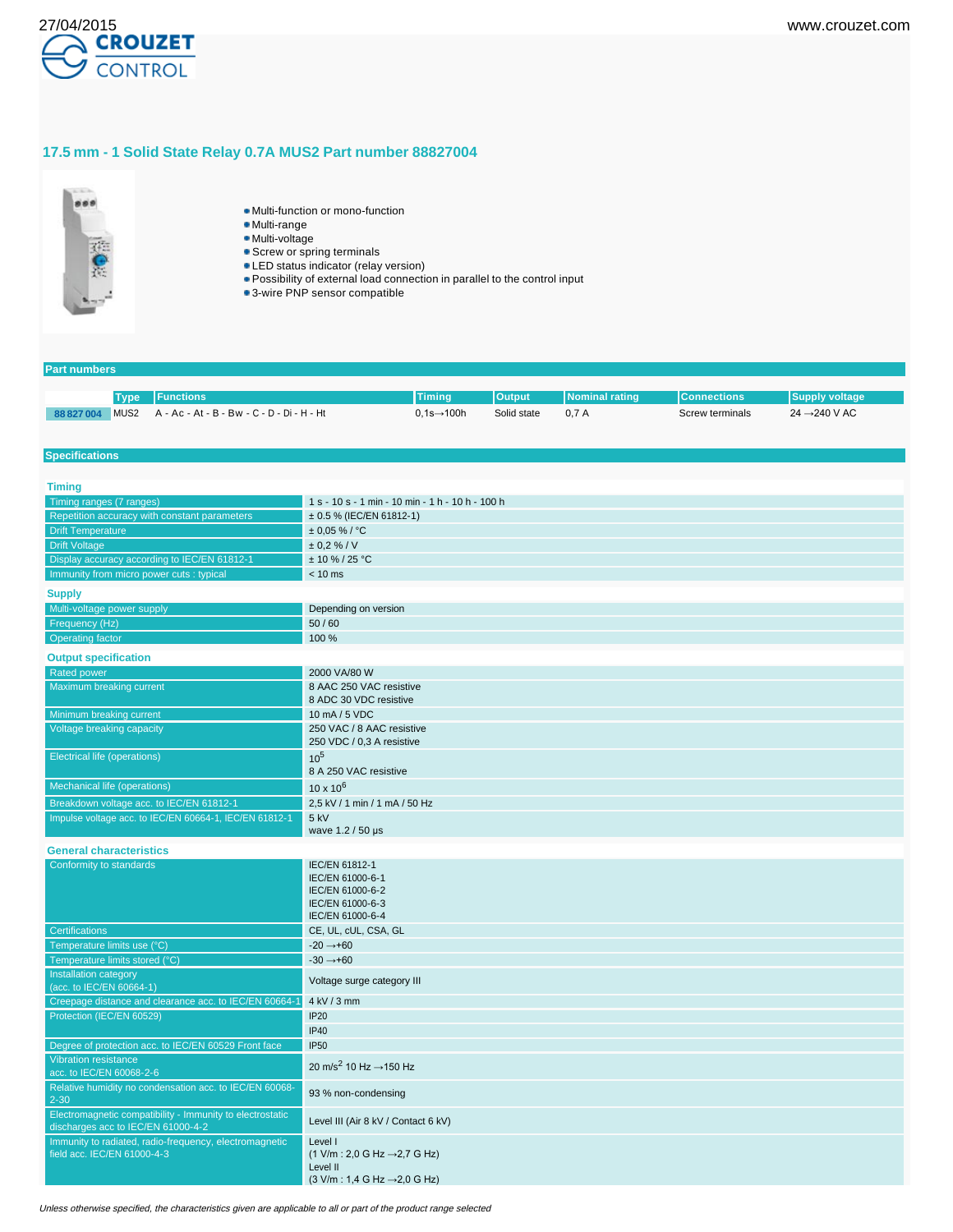

# **17.5 mm - 1 Solid State Relay 0.7A MUS2 Part number 88827004**



- Multi-function or mono-function
- Multi-range
- Multi-voltage
- **Screw or spring terminals**
- **LED** status indicator (relay version)
- Possibility of external load connection in parallel to the control input
- 3-wire PNP sensor compatible

### **Part numbers**

|            | Type Functions                                  | Timina                  | <b>Output</b> | <b>Nominal rating</b> | <b>I</b> Connections' |                           |
|------------|-------------------------------------------------|-------------------------|---------------|-----------------------|-----------------------|---------------------------|
| 88 827 004 | MUS2 A - Ac - At - B - Bw - C - D - Di - H - Ht | $0.1s \rightarrow 100h$ | Solid state   | 0.7A                  | Screw terminals       | 24 $\rightarrow$ 240 V AC |

#### **Specifications**

| <b>Timing</b>                                                                                   |                                                                                                                                                               |
|-------------------------------------------------------------------------------------------------|---------------------------------------------------------------------------------------------------------------------------------------------------------------|
| Timing ranges (7 ranges)                                                                        | 1 s - 10 s - 1 min - 10 min - 1 h - 10 h - 100 h                                                                                                              |
| Repetition accuracy with constant parameters                                                    | ± 0.5 % (IEC/EN 61812-1)                                                                                                                                      |
| <b>Drift Temperature</b>                                                                        | $± 0.05 \%$ / °C                                                                                                                                              |
| <b>Drift Voltage</b>                                                                            | ± 0.2 % / V                                                                                                                                                   |
| Display accuracy according to IEC/EN 61812-1                                                    | $± 10 \% / 25 °C$                                                                                                                                             |
| Immunity from micro power cuts : typical                                                        | $< 10$ ms                                                                                                                                                     |
| <b>Supply</b>                                                                                   |                                                                                                                                                               |
| Multi-voltage power supply                                                                      | Depending on version                                                                                                                                          |
| Frequency (Hz)                                                                                  | 50/60                                                                                                                                                         |
| <b>Operating factor</b>                                                                         | 100 %                                                                                                                                                         |
| <b>Output specification</b>                                                                     |                                                                                                                                                               |
| <b>Rated power</b>                                                                              | 2000 VA/80 W                                                                                                                                                  |
| Maximum breaking current                                                                        | 8 AAC 250 VAC resistive<br>8 ADC 30 VDC resistive                                                                                                             |
| Minimum breaking current                                                                        | 10 mA / 5 VDC                                                                                                                                                 |
| Voltage breaking capacity                                                                       | 250 VAC / 8 AAC resistive<br>250 VDC / 0,3 A resistive                                                                                                        |
| <b>Electrical life (operations)</b>                                                             | $10^{5}$<br>8 A 250 VAC resistive                                                                                                                             |
| Mechanical life (operations)                                                                    | $10 \times 10^{6}$                                                                                                                                            |
| Breakdown voltage acc. to IEC/EN 61812-1                                                        | 2.5 kV / 1 min / 1 mA / 50 Hz                                                                                                                                 |
| Impulse voltage acc. to IEC/EN 60664-1, IEC/EN 61812-1                                          | 5 kV<br>wave 1.2 / 50 µs                                                                                                                                      |
| <b>General characteristics</b>                                                                  |                                                                                                                                                               |
| Conformity to standards                                                                         | IEC/EN 61812-1<br>IEC/EN 61000-6-1<br>IEC/EN 61000-6-2<br>IEC/EN 61000-6-3<br>IEC/EN 61000-6-4                                                                |
| <b>Certifications</b>                                                                           | CE, UL, cUL, CSA, GL                                                                                                                                          |
| Temperature limits use (°C)                                                                     | $-20 \rightarrow +60$                                                                                                                                         |
| Temperature limits stored (°C)                                                                  | $-30 \rightarrow +60$                                                                                                                                         |
| Installation category<br>(acc. to IEC/EN 60664-1)                                               | Voltage surge category III                                                                                                                                    |
| Creepage distance and clearance acc. to IEC/EN 60664-1                                          | 4 kV / 3 mm                                                                                                                                                   |
| Protection (IEC/EN 60529)                                                                       | <b>IP20</b>                                                                                                                                                   |
|                                                                                                 | <b>IP40</b>                                                                                                                                                   |
| Degree of protection acc. to IEC/EN 60529 Front face                                            | <b>IP50</b>                                                                                                                                                   |
| <b>Vibration resistance</b>                                                                     | 20 m/s <sup>2</sup> 10 Hz $\rightarrow$ 150 Hz                                                                                                                |
| acc. to IEC/EN 60068-2-6                                                                        |                                                                                                                                                               |
| Relative humidity no condensation acc. to IEC/EN 60068-<br>$2 - 30$                             | 93 % non-condensing                                                                                                                                           |
| Electromagnetic compatibility - Immunity to electrostatic<br>discharges acc to IEC/EN 61000-4-2 | Level III (Air 8 kV / Contact 6 kV)                                                                                                                           |
| Immunity to radiated, radio-frequency, electromagnetic<br>field acc. IEC/EN 61000-4-3           | Level I<br>$(1 \text{ V/m} : 2,0 \text{ G Hz} \rightarrow 2,7 \text{ G Hz})$<br>Level II<br>$(3 \text{ V/m} : 1.4 \text{ G Hz} \rightarrow 2.0 \text{ G Hz})$ |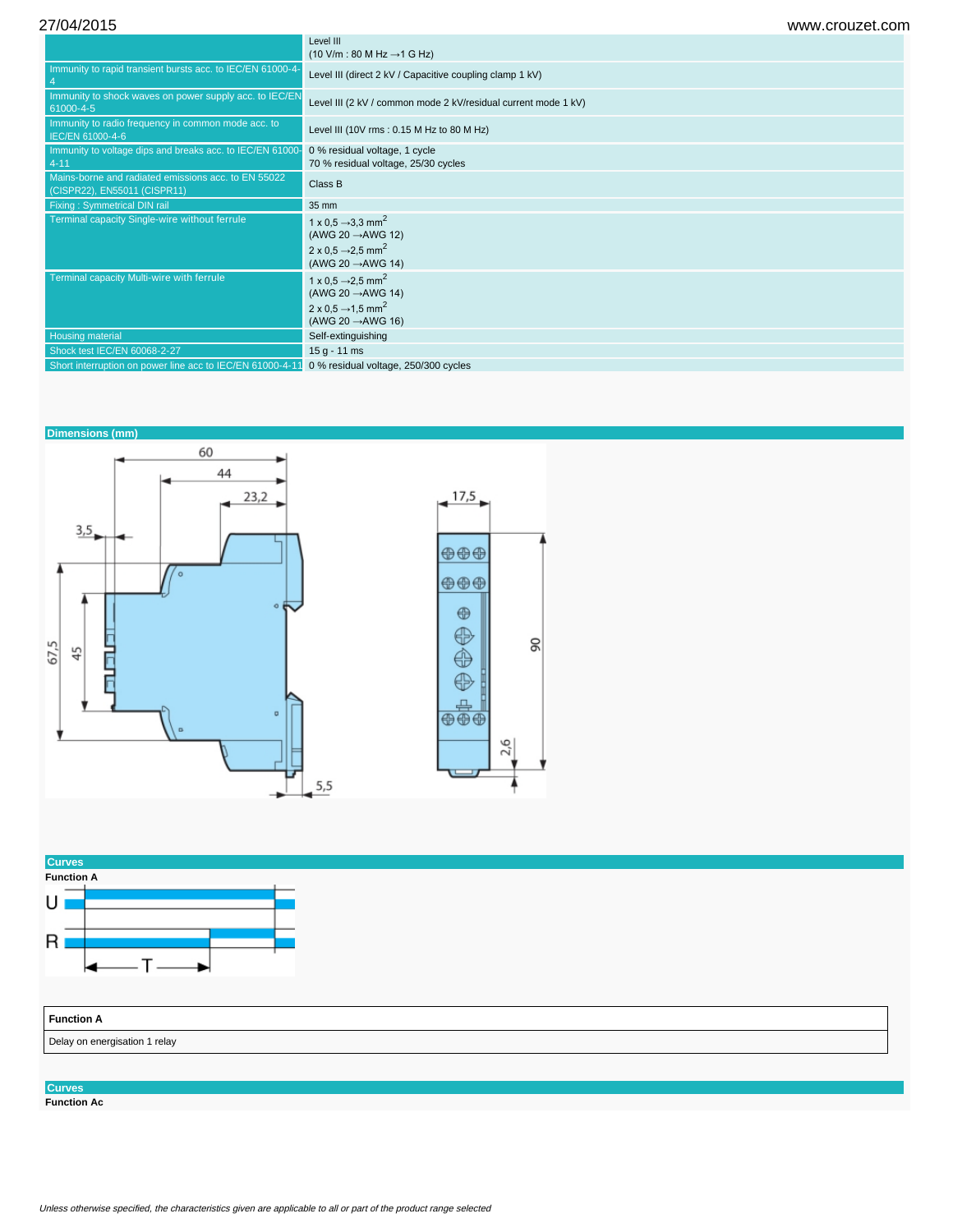27/04/2015 www.crouzet.com

|                                                                                     | Level III<br>$(10 \text{ V/m} : 80 \text{ M Hz} \rightarrow 1 \text{ G Hz})$                                                                             |
|-------------------------------------------------------------------------------------|----------------------------------------------------------------------------------------------------------------------------------------------------------|
| Immunity to rapid transient bursts acc. to IEC/EN 61000-4-                          | Level III (direct 2 kV / Capacitive coupling clamp 1 kV)                                                                                                 |
| Immunity to shock waves on power supply acc. to IEC/EN<br>61000-4-5                 | Level III (2 kV / common mode 2 kV/residual current mode 1 kV)                                                                                           |
| Immunity to radio frequency in common mode acc. to<br>IEC/EN 61000-4-6              | Level III (10V rms: 0.15 M Hz to 80 M Hz)                                                                                                                |
| Immunity to voltage dips and breaks acc. to IEC/EN 61000-<br>$4 - 11$               | 0 % residual voltage, 1 cycle<br>70 % residual voltage, 25/30 cycles                                                                                     |
| Mains-borne and radiated emissions acc. to EN 55022<br>(CISPR22), EN55011 (CISPR11) | Class B                                                                                                                                                  |
| <b>Fixing: Symmetrical DIN rail</b>                                                 | 35 mm                                                                                                                                                    |
| Terminal capacity Single-wire without ferrule                                       | 1 x 0.5 $\rightarrow$ 3.3 mm <sup>2</sup><br>(AWG 20 $\rightarrow$ AWG 12)<br>2 x 0.5 $\rightarrow$ 2.5 mm <sup>2</sup><br>(AWG 20 $\rightarrow$ AWG 14) |
| Terminal capacity Multi-wire with ferrule                                           | 1 x 0.5 $\rightarrow$ 2.5 mm <sup>2</sup><br>(AWG 20 $\rightarrow$ AWG 14)<br>2 x 0.5 $\rightarrow$ 1.5 mm <sup>2</sup><br>(AWG 20 $\rightarrow$ AWG 16) |
| <b>Housing material</b>                                                             | Self-extinguishing                                                                                                                                       |
| Shock test IEC/EN 60068-2-27                                                        | $15 g - 11 ms$                                                                                                                                           |
| Short interruption on power line acc to IEC/EN 61000-4-11                           | 0 % residual voltage, 250/300 cycles                                                                                                                     |





# **Curves**

**Function Ac**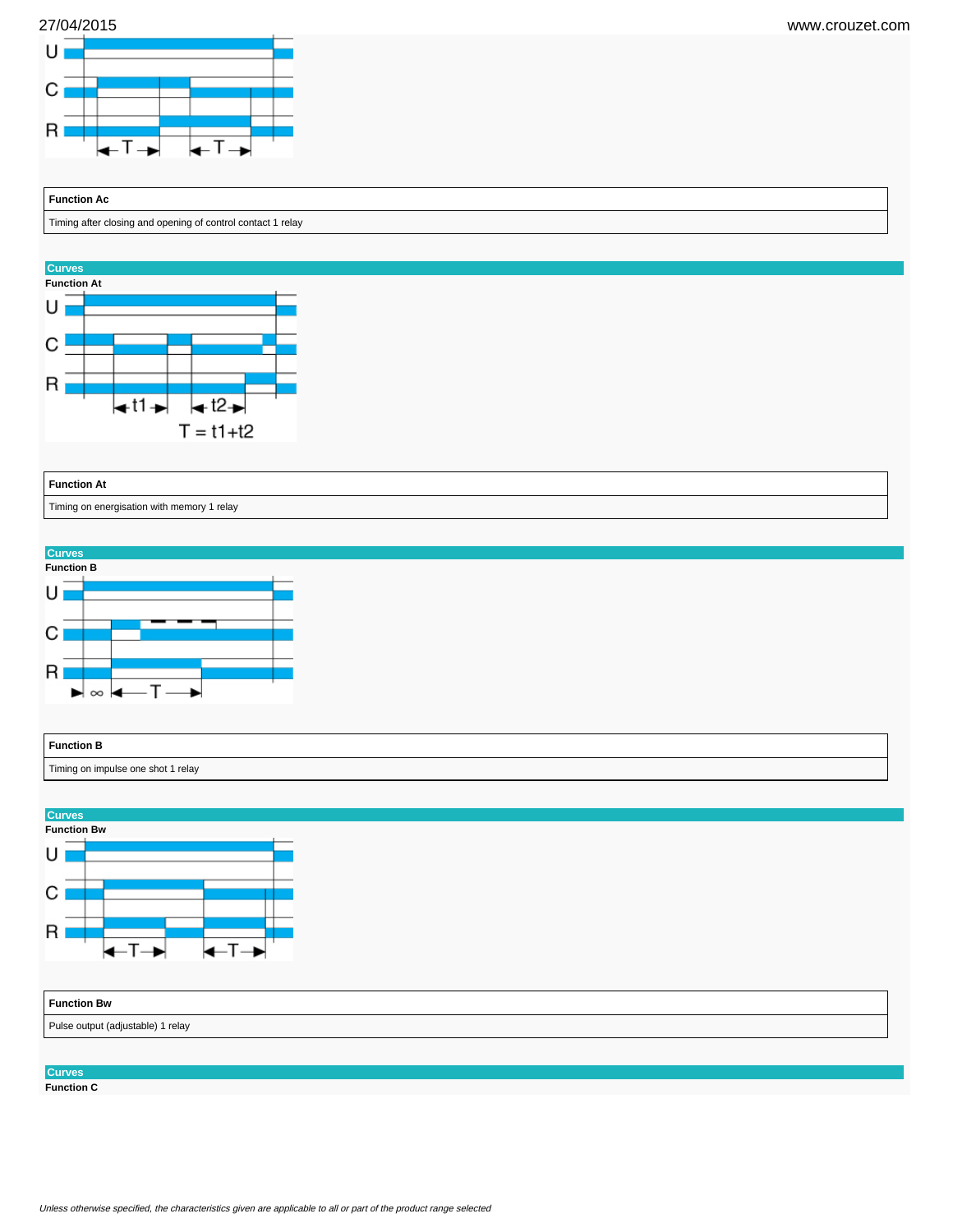



# **Function Ac**

Timing after closing and opening of control contact 1 relay



#### **Function At**

Timing on energisation with memory 1 relay





| <b>Function Bw</b>                |  |  |  |
|-----------------------------------|--|--|--|
| Pulse output (adjustable) 1 relay |  |  |  |
|                                   |  |  |  |

### **Curves**

**Function C**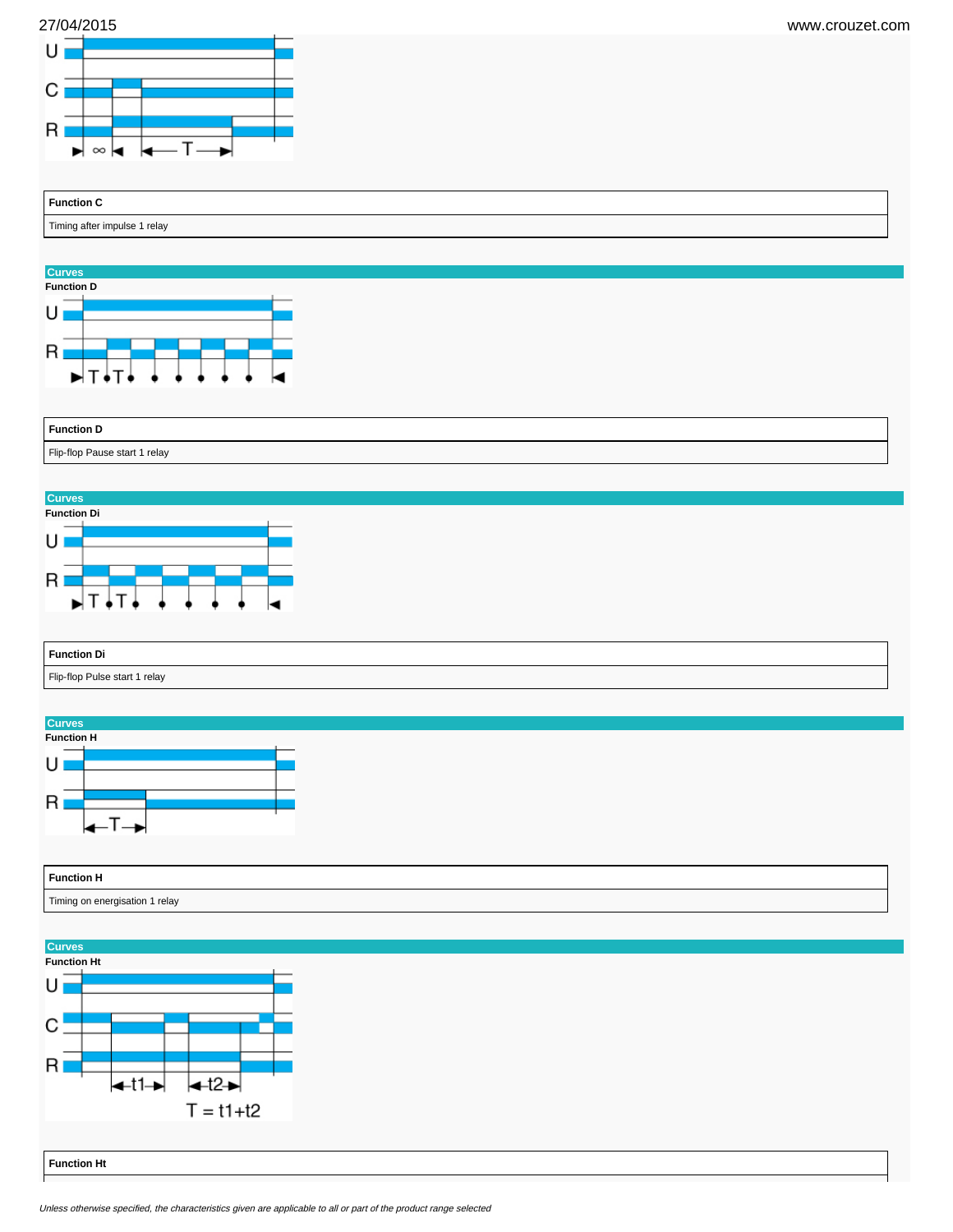



**Function C** Timing after impulse 1 relay



| <b>Function D</b>             |  |
|-------------------------------|--|
| Flip-flop Pause start 1 relay |  |